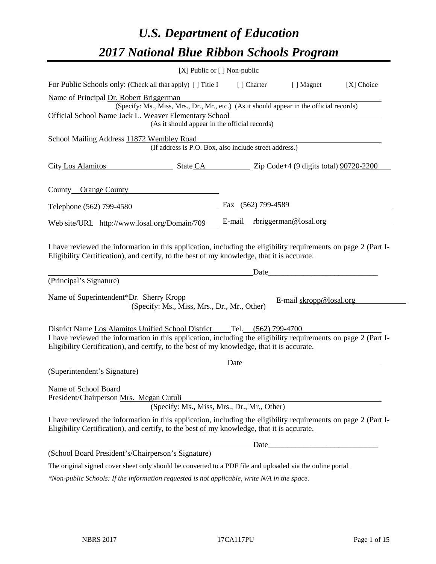# *U.S. Department of Education 2017 National Blue Ribbon Schools Program*

|                                                                                                                                                                                                                                                                                        | [X] Public or [] Non-public |                    |                         |            |
|----------------------------------------------------------------------------------------------------------------------------------------------------------------------------------------------------------------------------------------------------------------------------------------|-----------------------------|--------------------|-------------------------|------------|
| For Public Schools only: (Check all that apply) [] Title I                                                                                                                                                                                                                             |                             | [ ] Charter        | [ ] Magnet              | [X] Choice |
| Name of Principal Dr. Robert Briggerman<br>(Specify: Ms., Miss, Mrs., Dr., Mr., etc.) (As it should appear in the official records)                                                                                                                                                    |                             |                    |                         |            |
| Official School Name Jack L. Weaver Elementary School<br>(As it should appear in the official records)                                                                                                                                                                                 |                             |                    |                         |            |
|                                                                                                                                                                                                                                                                                        |                             |                    |                         |            |
| School Mailing Address 11872 Wembley Road<br>(If address is P.O. Box, also include street address.)                                                                                                                                                                                    |                             |                    |                         |            |
|                                                                                                                                                                                                                                                                                        |                             |                    |                         |            |
| County Orange County                                                                                                                                                                                                                                                                   |                             |                    |                         |            |
| Telephone (562) 799-4580                                                                                                                                                                                                                                                               |                             | Fax (562) 799-4589 |                         |            |
| Web site/URL http://www.losal.org/Domain/709                                                                                                                                                                                                                                           | E-mail                      |                    | rbriggerman@losal.org   |            |
| I have reviewed the information in this application, including the eligibility requirements on page 2 (Part I-<br>Eligibility Certification), and certify, to the best of my knowledge, that it is accurate.                                                                           |                             |                    |                         |            |
| (Principal's Signature)                                                                                                                                                                                                                                                                |                             | Date               |                         |            |
| Name of Superintendent*Dr. Sherry Kropp<br>(Specify: Ms., Miss, Mrs., Dr., Mr., Other)                                                                                                                                                                                                 |                             |                    | E-mail skropp@losal.org |            |
| District Name Los Alamitos Unified School District Tel. (562) 799-4700<br>I have reviewed the information in this application, including the eligibility requirements on page 2 (Part I-<br>Eligibility Certification), and certify, to the best of my knowledge, that it is accurate. |                             |                    |                         |            |
|                                                                                                                                                                                                                                                                                        | Date                        |                    |                         |            |
| (Superintendent's Signature)                                                                                                                                                                                                                                                           |                             |                    |                         |            |
| Name of School Board<br>President/Chairperson Mrs. Megan Cutuli<br>(Specify: Ms., Miss, Mrs., Dr., Mr., Other)                                                                                                                                                                         |                             |                    |                         |            |
| I have reviewed the information in this application, including the eligibility requirements on page 2 (Part I-<br>Eligibility Certification), and certify, to the best of my knowledge, that it is accurate.                                                                           |                             |                    |                         |            |
|                                                                                                                                                                                                                                                                                        |                             | Date               |                         |            |
| (School Board President's/Chairperson's Signature)                                                                                                                                                                                                                                     |                             |                    |                         |            |
| The original signed cover sheet only should be converted to a PDF file and uploaded via the online portal.                                                                                                                                                                             |                             |                    |                         |            |
|                                                                                                                                                                                                                                                                                        |                             |                    |                         |            |

*\*Non-public Schools: If the information requested is not applicable, write N/A in the space.*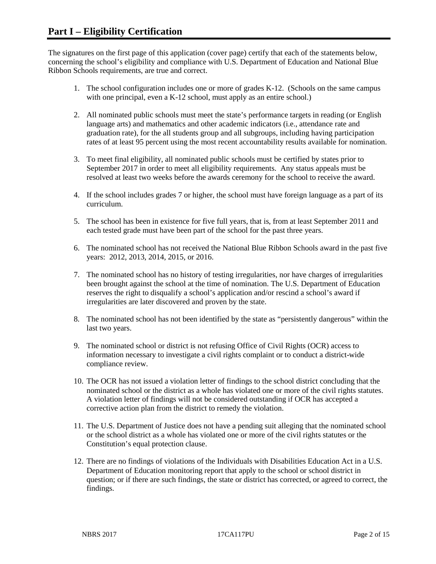The signatures on the first page of this application (cover page) certify that each of the statements below, concerning the school's eligibility and compliance with U.S. Department of Education and National Blue Ribbon Schools requirements, are true and correct.

- 1. The school configuration includes one or more of grades K-12. (Schools on the same campus with one principal, even a K-12 school, must apply as an entire school.)
- 2. All nominated public schools must meet the state's performance targets in reading (or English language arts) and mathematics and other academic indicators (i.e., attendance rate and graduation rate), for the all students group and all subgroups, including having participation rates of at least 95 percent using the most recent accountability results available for nomination.
- 3. To meet final eligibility, all nominated public schools must be certified by states prior to September 2017 in order to meet all eligibility requirements. Any status appeals must be resolved at least two weeks before the awards ceremony for the school to receive the award.
- 4. If the school includes grades 7 or higher, the school must have foreign language as a part of its curriculum.
- 5. The school has been in existence for five full years, that is, from at least September 2011 and each tested grade must have been part of the school for the past three years.
- 6. The nominated school has not received the National Blue Ribbon Schools award in the past five years: 2012, 2013, 2014, 2015, or 2016.
- 7. The nominated school has no history of testing irregularities, nor have charges of irregularities been brought against the school at the time of nomination. The U.S. Department of Education reserves the right to disqualify a school's application and/or rescind a school's award if irregularities are later discovered and proven by the state.
- 8. The nominated school has not been identified by the state as "persistently dangerous" within the last two years.
- 9. The nominated school or district is not refusing Office of Civil Rights (OCR) access to information necessary to investigate a civil rights complaint or to conduct a district-wide compliance review.
- 10. The OCR has not issued a violation letter of findings to the school district concluding that the nominated school or the district as a whole has violated one or more of the civil rights statutes. A violation letter of findings will not be considered outstanding if OCR has accepted a corrective action plan from the district to remedy the violation.
- 11. The U.S. Department of Justice does not have a pending suit alleging that the nominated school or the school district as a whole has violated one or more of the civil rights statutes or the Constitution's equal protection clause.
- 12. There are no findings of violations of the Individuals with Disabilities Education Act in a U.S. Department of Education monitoring report that apply to the school or school district in question; or if there are such findings, the state or district has corrected, or agreed to correct, the findings.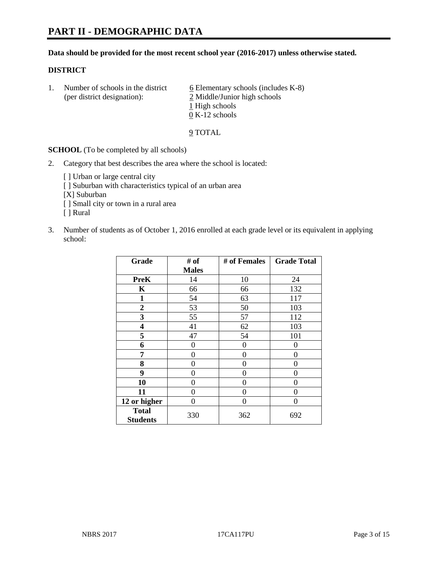### **Data should be provided for the most recent school year (2016-2017) unless otherwise stated.**

## **DISTRICT**

1. Number of schools in the district  $6$  Elementary schools (includes K-8) (per district designation): 2 Middle/Junior high schools 1 High schools 0 K-12 schools

#### 9 TOTAL

**SCHOOL** (To be completed by all schools)

- 2. Category that best describes the area where the school is located:
	- [] Urban or large central city [ ] Suburban with characteristics typical of an urban area [X] Suburban [ ] Small city or town in a rural area [ ] Rural
- 3. Number of students as of October 1, 2016 enrolled at each grade level or its equivalent in applying school:

| Grade                           | # of         | # of Females | <b>Grade Total</b> |
|---------------------------------|--------------|--------------|--------------------|
|                                 | <b>Males</b> |              |                    |
| <b>PreK</b>                     | 14           | 10           | 24                 |
| $\mathbf K$                     | 66           | 66           | 132                |
| $\mathbf{1}$                    | 54           | 63           | 117                |
| $\overline{2}$                  | 53           | 50           | 103                |
| 3                               | 55           | 57           | 112                |
| 4                               | 41           | 62           | 103                |
| 5                               | 47           | 54           | 101                |
| 6                               | 0            | 0            | 0                  |
| 7                               | 0            | 0            | 0                  |
| 8                               | 0            | 0            | 0                  |
| 9                               | 0            | 0            | 0                  |
| 10                              | 0            | 0            | 0                  |
| 11                              | 0            | 0            | 0                  |
| 12 or higher                    | 0            | 0            | 0                  |
| <b>Total</b><br><b>Students</b> | 330          | 362          | 692                |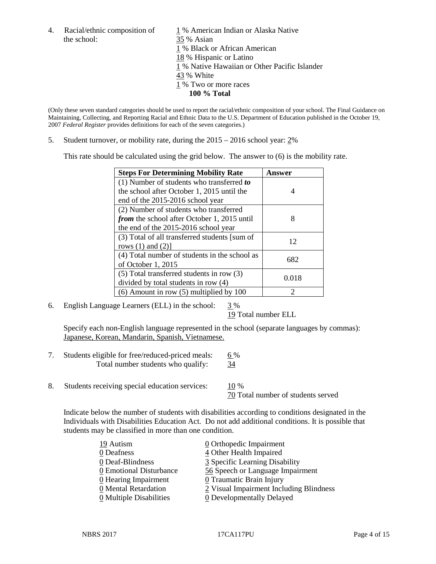the school: 35 % Asian

4. Racial/ethnic composition of  $1\%$  American Indian or Alaska Native 1 % Black or African American 18 % Hispanic or Latino 1 % Native Hawaiian or Other Pacific Islander 43 % White 1 % Two or more races **100 % Total**

(Only these seven standard categories should be used to report the racial/ethnic composition of your school. The Final Guidance on Maintaining, Collecting, and Reporting Racial and Ethnic Data to the U.S. Department of Education published in the October 19, 2007 *Federal Register* provides definitions for each of the seven categories.)

5. Student turnover, or mobility rate, during the 2015 – 2016 school year: 2%

This rate should be calculated using the grid below. The answer to (6) is the mobility rate.

| <b>Steps For Determining Mobility Rate</b>         | Answer |  |
|----------------------------------------------------|--------|--|
| (1) Number of students who transferred to          |        |  |
| the school after October 1, 2015 until the         | 4      |  |
| end of the 2015-2016 school year                   |        |  |
| (2) Number of students who transferred             |        |  |
| <i>from</i> the school after October 1, 2015 until | 8      |  |
| the end of the 2015-2016 school year               |        |  |
| (3) Total of all transferred students [sum of      | 12     |  |
| rows $(1)$ and $(2)$ ]                             |        |  |
| (4) Total number of students in the school as      | 682    |  |
| of October 1, 2015                                 |        |  |
| $(5)$ Total transferred students in row $(3)$      | 0.018  |  |
| divided by total students in row (4)               |        |  |
| $(6)$ Amount in row $(5)$ multiplied by 100        | 2      |  |

6. English Language Learners (ELL) in the school:  $3\%$ 

19 Total number ELL

Specify each non-English language represented in the school (separate languages by commas): Japanese, Korean, Mandarin, Spanish, Vietnamese.

- 7. Students eligible for free/reduced-priced meals: 6 % Total number students who qualify: 34
- 8. Students receiving special education services: 10 %

70 Total number of students served

Indicate below the number of students with disabilities according to conditions designated in the Individuals with Disabilities Education Act. Do not add additional conditions. It is possible that students may be classified in more than one condition.

| 19 Autism                             | $\underline{0}$ Orthopedic Impairment   |
|---------------------------------------|-----------------------------------------|
| 0 Deafness                            | 4 Other Health Impaired                 |
| 0 Deaf-Blindness                      | 3 Specific Learning Disability          |
| 0 Emotional Disturbance               | 56 Speech or Language Impairment        |
| 0 Hearing Impairment                  | 0 Traumatic Brain Injury                |
| 0 Mental Retardation                  | 2 Visual Impairment Including Blindness |
| $\underline{0}$ Multiple Disabilities | <b>0</b> Developmentally Delayed        |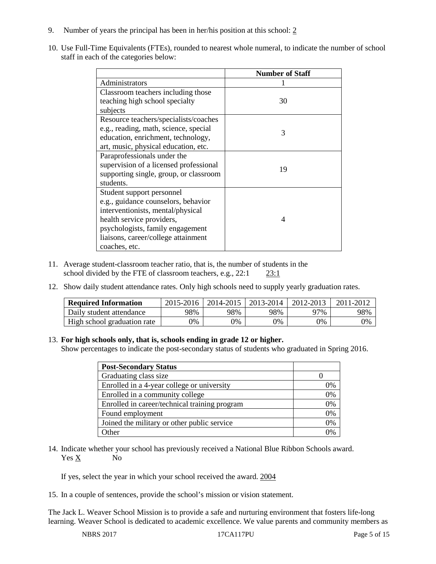- 9. Number of years the principal has been in her/his position at this school: 2
- 10. Use Full-Time Equivalents (FTEs), rounded to nearest whole numeral, to indicate the number of school staff in each of the categories below:

|                                        | <b>Number of Staff</b> |
|----------------------------------------|------------------------|
| Administrators                         |                        |
| Classroom teachers including those     |                        |
| teaching high school specialty         | 30                     |
| subjects                               |                        |
| Resource teachers/specialists/coaches  |                        |
| e.g., reading, math, science, special  | 3                      |
| education, enrichment, technology,     |                        |
| art, music, physical education, etc.   |                        |
| Paraprofessionals under the            |                        |
| supervision of a licensed professional | 19                     |
| supporting single, group, or classroom |                        |
| students.                              |                        |
| Student support personnel              |                        |
| e.g., guidance counselors, behavior    |                        |
| interventionists, mental/physical      |                        |
| health service providers,              | $\Delta$               |
| psychologists, family engagement       |                        |
| liaisons, career/college attainment    |                        |
| coaches, etc.                          |                        |

- 11. Average student-classroom teacher ratio, that is, the number of students in the school divided by the FTE of classroom teachers, e.g., 22:1 23:1
- 12. Show daily student attendance rates. Only high schools need to supply yearly graduation rates.

| <b>Required Information</b> | 2015-2016 | 2014-2015 | 2013-2014 | 2012-2013 |     |
|-----------------------------|-----------|-----------|-----------|-----------|-----|
| Daily student attendance    | 98%       | 98%       | 98%       | ን7%       | 98% |
| High school graduation rate | 0%        | 0%        | 0%        | 9%        | 0%  |

### 13. **For high schools only, that is, schools ending in grade 12 or higher.**

Show percentages to indicate the post-secondary status of students who graduated in Spring 2016.

| <b>Post-Secondary Status</b>                  |    |
|-----------------------------------------------|----|
| Graduating class size                         |    |
| Enrolled in a 4-year college or university    | 0% |
| Enrolled in a community college               | 0% |
| Enrolled in career/technical training program | 0% |
| Found employment                              | 0% |
| Joined the military or other public service   | 0% |
| Other                                         |    |

14. Indicate whether your school has previously received a National Blue Ribbon Schools award. Yes X No

If yes, select the year in which your school received the award. 2004

15. In a couple of sentences, provide the school's mission or vision statement.

The Jack L. Weaver School Mission is to provide a safe and nurturing environment that fosters life-long learning. Weaver School is dedicated to academic excellence. We value parents and community members as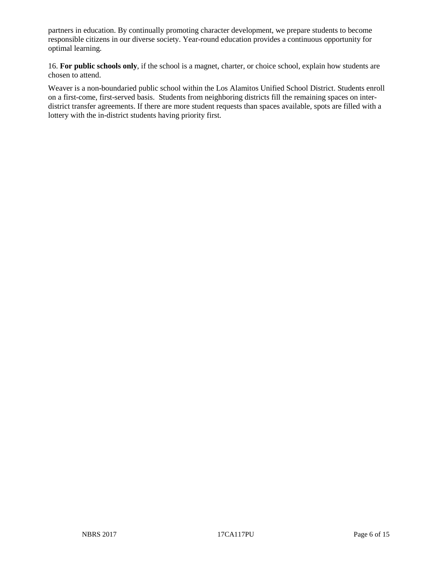partners in education. By continually promoting character development, we prepare students to become responsible citizens in our diverse society. Year-round education provides a continuous opportunity for optimal learning.

16. **For public schools only**, if the school is a magnet, charter, or choice school, explain how students are chosen to attend.

Weaver is a non-boundaried public school within the Los Alamitos Unified School District. Students enroll on a first-come, first-served basis. Students from neighboring districts fill the remaining spaces on interdistrict transfer agreements. If there are more student requests than spaces available, spots are filled with a lottery with the in-district students having priority first.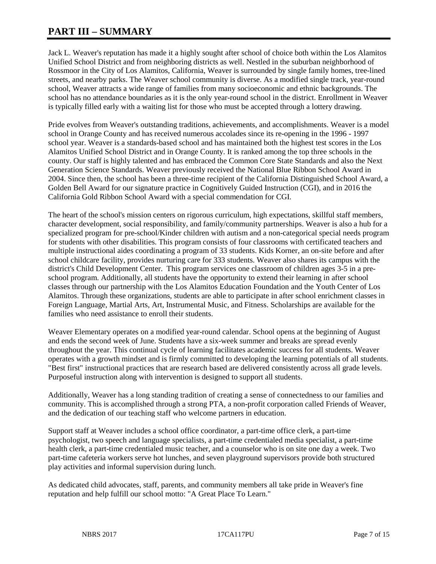# **PART III – SUMMARY**

Jack L. Weaver's reputation has made it a highly sought after school of choice both within the Los Alamitos Unified School District and from neighboring districts as well. Nestled in the suburban neighborhood of Rossmoor in the City of Los Alamitos, California, Weaver is surrounded by single family homes, tree-lined streets, and nearby parks. The Weaver school community is diverse. As a modified single track, year-round school, Weaver attracts a wide range of families from many socioeconomic and ethnic backgrounds. The school has no attendance boundaries as it is the only year-round school in the district. Enrollment in Weaver is typically filled early with a waiting list for those who must be accepted through a lottery drawing.

Pride evolves from Weaver's outstanding traditions, achievements, and accomplishments. Weaver is a model school in Orange County and has received numerous accolades since its re-opening in the 1996 - 1997 school year. Weaver is a standards-based school and has maintained both the highest test scores in the Los Alamitos Unified School District and in Orange County. It is ranked among the top three schools in the county. Our staff is highly talented and has embraced the Common Core State Standards and also the Next Generation Science Standards. Weaver previously received the National Blue Ribbon School Award in 2004. Since then, the school has been a three-time recipient of the California Distinguished School Award, a Golden Bell Award for our signature practice in Cognitively Guided Instruction (CGI), and in 2016 the California Gold Ribbon School Award with a special commendation for CGI.

The heart of the school's mission centers on rigorous curriculum, high expectations, skillful staff members, character development, social responsibility, and family/community partnerships. Weaver is also a hub for a specialized program for pre-school/Kinder children with autism and a non-categorical special needs program for students with other disabilities. This program consists of four classrooms with certificated teachers and multiple instructional aides coordinating a program of 33 students. Kids Korner, an on-site before and after school childcare facility, provides nurturing care for 333 students. Weaver also shares its campus with the district's Child Development Center. This program services one classroom of children ages 3-5 in a preschool program. Additionally, all students have the opportunity to extend their learning in after school classes through our partnership with the Los Alamitos Education Foundation and the Youth Center of Los Alamitos. Through these organizations, students are able to participate in after school enrichment classes in Foreign Language, Martial Arts, Art, Instrumental Music, and Fitness. Scholarships are available for the families who need assistance to enroll their students.

Weaver Elementary operates on a modified year-round calendar. School opens at the beginning of August and ends the second week of June. Students have a six-week summer and breaks are spread evenly throughout the year. This continual cycle of learning facilitates academic success for all students. Weaver operates with a growth mindset and is firmly committed to developing the learning potentials of all students. "Best first" instructional practices that are research based are delivered consistently across all grade levels. Purposeful instruction along with intervention is designed to support all students.

Additionally, Weaver has a long standing tradition of creating a sense of connectedness to our families and community. This is accomplished through a strong PTA, a non-profit corporation called Friends of Weaver, and the dedication of our teaching staff who welcome partners in education.

Support staff at Weaver includes a school office coordinator, a part-time office clerk, a part-time psychologist, two speech and language specialists, a part-time credentialed media specialist, a part-time health clerk, a part-time credentialed music teacher, and a counselor who is on site one day a week. Two part-time cafeteria workers serve hot lunches, and seven playground supervisors provide both structured play activities and informal supervision during lunch.

As dedicated child advocates, staff, parents, and community members all take pride in Weaver's fine reputation and help fulfill our school motto: "A Great Place To Learn."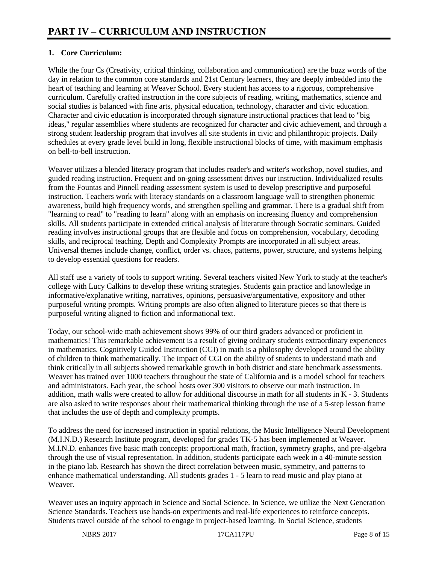# **1. Core Curriculum:**

While the four Cs (Creativity, critical thinking, collaboration and communication) are the buzz words of the day in relation to the common core standards and 21st Century learners, they are deeply imbedded into the heart of teaching and learning at Weaver School. Every student has access to a rigorous, comprehensive curriculum. Carefully crafted instruction in the core subjects of reading, writing, mathematics, science and social studies is balanced with fine arts, physical education, technology, character and civic education. Character and civic education is incorporated through signature instructional practices that lead to "big ideas," regular assemblies where students are recognized for character and civic achievement, and through a strong student leadership program that involves all site students in civic and philanthropic projects. Daily schedules at every grade level build in long, flexible instructional blocks of time, with maximum emphasis on bell-to-bell instruction.

Weaver utilizes a blended literacy program that includes reader's and writer's workshop, novel studies, and guided reading instruction. Frequent and on-going assessment drives our instruction. Individualized results from the Fountas and Pinnell reading assessment system is used to develop prescriptive and purposeful instruction. Teachers work with literacy standards on a classroom language wall to strengthen phonemic awareness, build high frequency words, and strengthen spelling and grammar. There is a gradual shift from "learning to read" to "reading to learn" along with an emphasis on increasing fluency and comprehension skills. All students participate in extended critical analysis of literature through Socratic seminars. Guided reading involves instructional groups that are flexible and focus on comprehension, vocabulary, decoding skills, and reciprocal teaching. Depth and Complexity Prompts are incorporated in all subject areas. Universal themes include change, conflict, order vs. chaos, patterns, power, structure, and systems helping to develop essential questions for readers.

All staff use a variety of tools to support writing. Several teachers visited New York to study at the teacher's college with Lucy Calkins to develop these writing strategies. Students gain practice and knowledge in informative/explanative writing, narratives, opinions, persuasive/argumentative, expository and other purposeful writing prompts. Writing prompts are also often aligned to literature pieces so that there is purposeful writing aligned to fiction and informational text.

Today, our school-wide math achievement shows 99% of our third graders advanced or proficient in mathematics! This remarkable achievement is a result of giving ordinary students extraordinary experiences in mathematics. Cognitively Guided Instruction (CGI) in math is a philosophy developed around the ability of children to think mathematically. The impact of CGI on the ability of students to understand math and think critically in all subjects showed remarkable growth in both district and state benchmark assessments. Weaver has trained over 1000 teachers throughout the state of California and is a model school for teachers and administrators. Each year, the school hosts over 300 visitors to observe our math instruction. In addition, math walls were created to allow for additional discourse in math for all students in K - 3. Students are also asked to write responses about their mathematical thinking through the use of a 5-step lesson frame that includes the use of depth and complexity prompts.

To address the need for increased instruction in spatial relations, the Music Intelligence Neural Development (M.I.N.D.) Research Institute program, developed for grades TK-5 has been implemented at Weaver. M.I.N.D. enhances five basic math concepts: proportional math, fraction, symmetry graphs, and pre-algebra through the use of visual representation. In addition, students participate each week in a 40-minute session in the piano lab. Research has shown the direct correlation between music, symmetry, and patterns to enhance mathematical understanding. All students grades 1 - 5 learn to read music and play piano at Weaver.

Weaver uses an inquiry approach in Science and Social Science. In Science, we utilize the Next Generation Science Standards. Teachers use hands-on experiments and real-life experiences to reinforce concepts. Students travel outside of the school to engage in project-based learning. In Social Science, students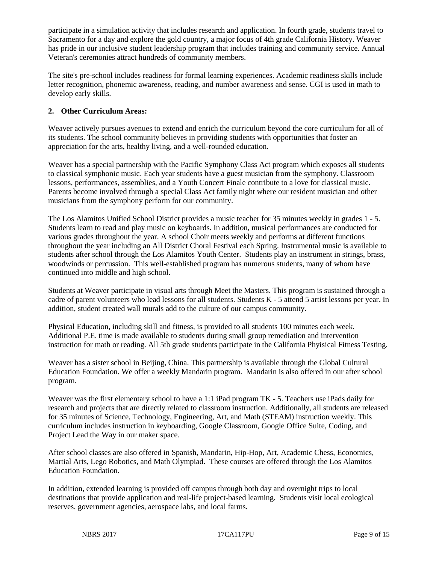participate in a simulation activity that includes research and application. In fourth grade, students travel to Sacramento for a day and explore the gold country, a major focus of 4th grade California History. Weaver has pride in our inclusive student leadership program that includes training and community service. Annual Veteran's ceremonies attract hundreds of community members.

The site's pre-school includes readiness for formal learning experiences. Academic readiness skills include letter recognition, phonemic awareness, reading, and number awareness and sense. CGI is used in math to develop early skills.

# **2. Other Curriculum Areas:**

Weaver actively pursues avenues to extend and enrich the curriculum beyond the core curriculum for all of its students. The school community believes in providing students with opportunities that foster an appreciation for the arts, healthy living, and a well-rounded education.

Weaver has a special partnership with the Pacific Symphony Class Act program which exposes all students to classical symphonic music. Each year students have a guest musician from the symphony. Classroom lessons, performances, assemblies, and a Youth Concert Finale contribute to a love for classical music. Parents become involved through a special Class Act family night where our resident musician and other musicians from the symphony perform for our community.

The Los Alamitos Unified School District provides a music teacher for 35 minutes weekly in grades 1 - 5. Students learn to read and play music on keyboards. In addition, musical performances are conducted for various grades throughout the year. A school Choir meets weekly and performs at different functions throughout the year including an All District Choral Festival each Spring. Instrumental music is available to students after school through the Los Alamitos Youth Center. Students play an instrument in strings, brass, woodwinds or percussion. This well-established program has numerous students, many of whom have continued into middle and high school.

Students at Weaver participate in visual arts through Meet the Masters. This program is sustained through a cadre of parent volunteers who lead lessons for all students. Students K - 5 attend 5 artist lessons per year. In addition, student created wall murals add to the culture of our campus community.

Physical Education, including skill and fitness, is provided to all students 100 minutes each week. Additional P.E. time is made available to students during small group remediation and intervention instruction for math or reading. All 5th grade students participate in the California Phyisical Fitness Testing.

Weaver has a sister school in Beijing, China. This partnership is available through the Global Cultural Education Foundation. We offer a weekly Mandarin program. Mandarin is also offered in our after school program.

Weaver was the first elementary school to have a 1:1 iPad program TK - 5. Teachers use iPads daily for research and projects that are directly related to classroom instruction. Additionally, all students are released for 35 minutes of Science, Technology, Engineering, Art, and Math (STEAM) instruction weekly. This curriculum includes instruction in keyboarding, Google Classroom, Google Office Suite, Coding, and Project Lead the Way in our maker space.

After school classes are also offered in Spanish, Mandarin, Hip-Hop, Art, Academic Chess, Economics, Martial Arts, Lego Robotics, and Math Olympiad. These courses are offered through the Los Alamitos Education Foundation.

In addition, extended learning is provided off campus through both day and overnight trips to local destinations that provide application and real-life project-based learning. Students visit local ecological reserves, government agencies, aerospace labs, and local farms.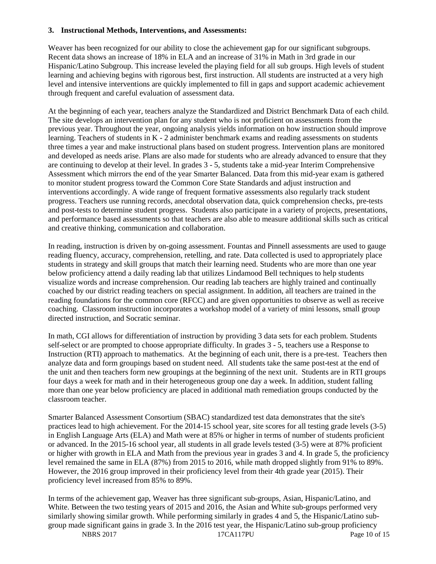#### **3. Instructional Methods, Interventions, and Assessments:**

Weaver has been recognized for our ability to close the achievement gap for our significant subgroups. Recent data shows an increase of 18% in ELA and an increase of 31% in Math in 3rd grade in our Hispanic/Latino Subgroup. This increase leveled the playing field for all sub groups. High levels of student learning and achieving begins with rigorous best, first instruction. All students are instructed at a very high level and intensive interventions are quickly implemented to fill in gaps and support academic achievement through frequent and careful evaluation of assessment data.

At the beginning of each year, teachers analyze the Standardized and District Benchmark Data of each child. The site develops an intervention plan for any student who is not proficient on assessments from the previous year. Throughout the year, ongoing analysis yields information on how instruction should improve learning. Teachers of students in K - 2 administer benchmark exams and reading assessments on students three times a year and make instructional plans based on student progress. Intervention plans are monitored and developed as needs arise. Plans are also made for students who are already advanced to ensure that they are continuing to develop at their level. In grades 3 - 5, students take a mid-year Interim Comprehensive Assessment which mirrors the end of the year Smarter Balanced. Data from this mid-year exam is gathered to monitor student progress toward the Common Core State Standards and adjust instruction and interventions accordingly. A wide range of frequent formative assessments also regularly track student progress. Teachers use running records, anecdotal observation data, quick comprehension checks, pre-tests and post-tests to determine student progress. Students also participate in a variety of projects, presentations, and performance based assessments so that teachers are also able to measure additional skills such as critical and creative thinking, communication and collaboration.

In reading, instruction is driven by on-going assessment. Fountas and Pinnell assessments are used to gauge reading fluency, accuracy, comprehension, retelling, and rate. Data collected is used to appropriately place students in strategy and skill groups that match their learning need. Students who are more than one year below proficiency attend a daily reading lab that utilizes Lindamood Bell techniques to help students visualize words and increase comprehension. Our reading lab teachers are highly trained and continually coached by our district reading teachers on special assignment. In addition, all teachers are trained in the reading foundations for the common core (RFCC) and are given opportunities to observe as well as receive coaching. Classroom instruction incorporates a workshop model of a variety of mini lessons, small group directed instruction, and Socratic seminar.

In math, CGI allows for differentiation of instruction by providing 3 data sets for each problem. Students self-select or are prompted to choose appropriate difficulty. In grades 3 - 5, teachers use a Response to Instruction (RTI) approach to mathematics. At the beginning of each unit, there is a pre-test. Teachers then analyze data and form groupings based on student need. All students take the same post-test at the end of the unit and then teachers form new groupings at the beginning of the next unit. Students are in RTI groups four days a week for math and in their heterogeneous group one day a week. In addition, student falling more than one year below proficiency are placed in additional math remediation groups conducted by the classroom teacher.

Smarter Balanced Assessment Consortium (SBAC) standardized test data demonstrates that the site's practices lead to high achievement. For the 2014-15 school year, site scores for all testing grade levels (3-5) in English Language Arts (ELA) and Math were at 85% or higher in terms of number of students proficient or advanced. In the 2015-16 school year, all students in all grade levels tested (3-5) were at 87% proficient or higher with growth in ELA and Math from the previous year in grades 3 and 4. In grade 5, the proficiency level remained the same in ELA (87%) from 2015 to 2016, while math dropped slightly from 91% to 89%. However, the 2016 group improved in their proficiency level from their 4th grade year (2015). Their proficiency level increased from 85% to 89%.

NBRS 2017 17CA117PU Page 10 of 15 In terms of the achievement gap, Weaver has three significant sub-groups, Asian, Hispanic/Latino, and White. Between the two testing years of 2015 and 2016, the Asian and White sub-groups performed very similarly showing similar growth. While performing similarly in grades 4 and 5, the Hispanic/Latino subgroup made significant gains in grade 3. In the 2016 test year, the Hispanic/Latino sub-group proficiency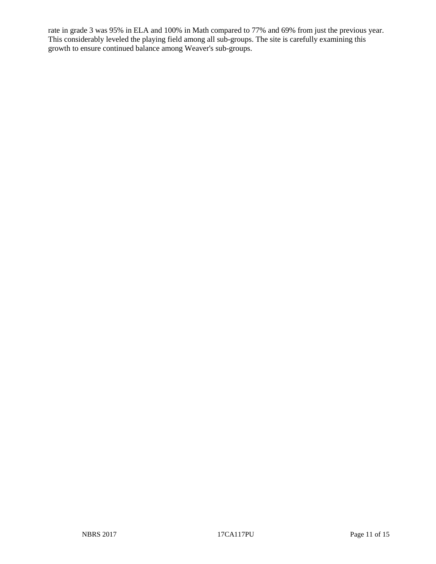rate in grade 3 was 95% in ELA and 100% in Math compared to 77% and 69% from just the previous year. This considerably leveled the playing field among all sub-groups. The site is carefully examining this growth to ensure continued balance among Weaver's sub-groups.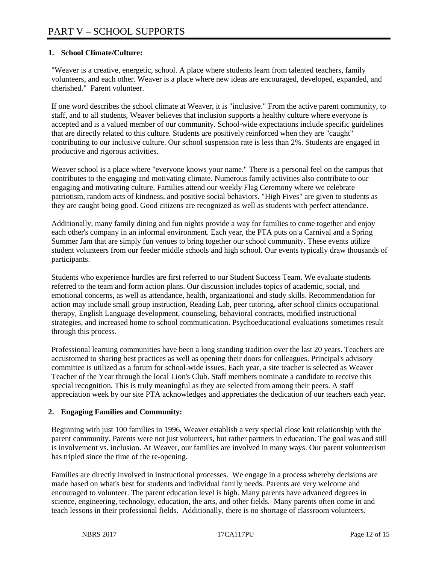# **1. School Climate/Culture:**

"Weaver is a creative, energetic, school. A place where students learn from talented teachers, family volunteers, and each other. Weaver is a place where new ideas are encouraged, developed, expanded, and cherished." Parent volunteer.

If one word describes the school climate at Weaver, it is "inclusive." From the active parent community, to staff, and to all students, Weaver believes that inclusion supports a healthy culture where everyone is accepted and is a valued member of our community. School-wide expectations include specific guidelines that are directly related to this culture. Students are positively reinforced when they are "caught" contributing to our inclusive culture. Our school suspension rate is less than 2%. Students are engaged in productive and rigorous activities.

Weaver school is a place where "everyone knows your name." There is a personal feel on the campus that contributes to the engaging and motivating climate. Numerous family activities also contribute to our engaging and motivating culture. Families attend our weekly Flag Ceremony where we celebrate patriotism, random acts of kindness, and positive social behaviors. "High Fives" are given to students as they are caught being good. Good citizens are recognized as well as students with perfect attendance.

Additionally, many family dining and fun nights provide a way for families to come together and enjoy each other's company in an informal environment. Each year, the PTA puts on a Carnival and a Spring Summer Jam that are simply fun venues to bring together our school community. These events utilize student volunteers from our feeder middle schools and high school. Our events typically draw thousands of participants.

Students who experience hurdles are first referred to our Student Success Team. We evaluate students referred to the team and form action plans. Our discussion includes topics of academic, social, and emotional concerns, as well as attendance, health, organizational and study skills. Recommendation for action may include small group instruction, Reading Lab, peer tutoring, after school clinics occupational therapy, English Language development, counseling, behavioral contracts, modified instructional strategies, and increased home to school communication. Psychoeducational evaluations sometimes result through this process.

Professional learning communities have been a long standing tradition over the last 20 years. Teachers are accustomed to sharing best practices as well as opening their doors for colleagues. Principal's advisory committee is utilized as a forum for school-wide issues. Each year, a site teacher is selected as Weaver Teacher of the Year through the local Lion's Club. Staff members nominate a candidate to receive this special recognition. This is truly meaningful as they are selected from among their peers. A staff appreciation week by our site PTA acknowledges and appreciates the dedication of our teachers each year.

# **2. Engaging Families and Community:**

Beginning with just 100 families in 1996, Weaver establish a very special close knit relationship with the parent community. Parents were not just volunteers, but rather partners in education. The goal was and still is involvement vs. inclusion. At Weaver, our families are involved in many ways. Our parent volunteerism has tripled since the time of the re-opening.

Families are directly involved in instructional processes. We engage in a process whereby decisions are made based on what's best for students and individual family needs. Parents are very welcome and encouraged to volunteer. The parent education level is high. Many parents have advanced degrees in science, engineering, technology, education, the arts, and other fields. Many parents often come in and teach lessons in their professional fields. Additionally, there is no shortage of classroom volunteers.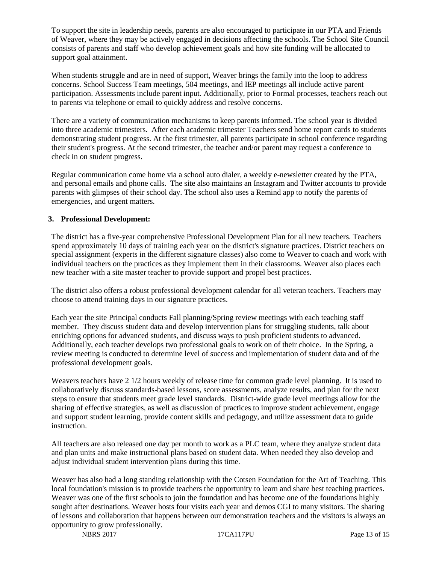To support the site in leadership needs, parents are also encouraged to participate in our PTA and Friends of Weaver, where they may be actively engaged in decisions affecting the schools. The School Site Council consists of parents and staff who develop achievement goals and how site funding will be allocated to support goal attainment.

When students struggle and are in need of support, Weaver brings the family into the loop to address concerns. School Success Team meetings, 504 meetings, and IEP meetings all include active parent participation. Assessments include parent input. Additionally, prior to Formal processes, teachers reach out to parents via telephone or email to quickly address and resolve concerns.

There are a variety of communication mechanisms to keep parents informed. The school year is divided into three academic trimesters. After each academic trimester Teachers send home report cards to students demonstrating student progress. At the first trimester, all parents participate in school conference regarding their student's progress. At the second trimester, the teacher and/or parent may request a conference to check in on student progress.

Regular communication come home via a school auto dialer, a weekly e-newsletter created by the PTA, and personal emails and phone calls. The site also maintains an Instagram and Twitter accounts to provide parents with glimpses of their school day. The school also uses a Remind app to notify the parents of emergencies, and urgent matters.

## **3. Professional Development:**

The district has a five-year comprehensive Professional Development Plan for all new teachers. Teachers spend approximately 10 days of training each year on the district's signature practices. District teachers on special assignment (experts in the different signature classes) also come to Weaver to coach and work with individual teachers on the practices as they implement them in their classrooms. Weaver also places each new teacher with a site master teacher to provide support and propel best practices.

The district also offers a robust professional development calendar for all veteran teachers. Teachers may choose to attend training days in our signature practices.

Each year the site Principal conducts Fall planning/Spring review meetings with each teaching staff member. They discuss student data and develop intervention plans for struggling students, talk about enriching options for advanced students, and discuss ways to push proficient students to advanced. Additionally, each teacher develops two professional goals to work on of their choice. In the Spring, a review meeting is conducted to determine level of success and implementation of student data and of the professional development goals.

Weavers teachers have 2 1/2 hours weekly of release time for common grade level planning. It is used to collaboratively discuss standards-based lessons, score assessments, analyze results, and plan for the next steps to ensure that students meet grade level standards. District-wide grade level meetings allow for the sharing of effective strategies, as well as discussion of practices to improve student achievement, engage and support student learning, provide content skills and pedagogy, and utilize assessment data to guide instruction.

All teachers are also released one day per month to work as a PLC team, where they analyze student data and plan units and make instructional plans based on student data. When needed they also develop and adjust individual student intervention plans during this time.

Weaver has also had a long standing relationship with the Cotsen Foundation for the Art of Teaching. This local foundation's mission is to provide teachers the opportunity to learn and share best teaching practices. Weaver was one of the first schools to join the foundation and has become one of the foundations highly sought after destinations. Weaver hosts four visits each year and demos CGI to many visitors. The sharing of lessons and collaboration that happens between our demonstration teachers and the visitors is always an opportunity to grow professionally.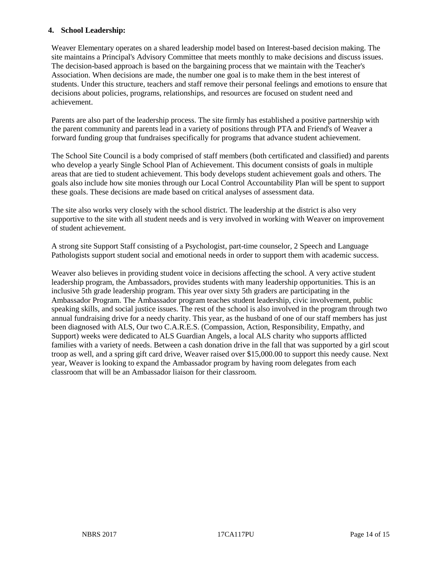### **4. School Leadership:**

Weaver Elementary operates on a shared leadership model based on Interest-based decision making. The site maintains a Principal's Advisory Committee that meets monthly to make decisions and discuss issues. The decision-based approach is based on the bargaining process that we maintain with the Teacher's Association. When decisions are made, the number one goal is to make them in the best interest of students. Under this structure, teachers and staff remove their personal feelings and emotions to ensure that decisions about policies, programs, relationships, and resources are focused on student need and achievement.

Parents are also part of the leadership process. The site firmly has established a positive partnership with the parent community and parents lead in a variety of positions through PTA and Friend's of Weaver a forward funding group that fundraises specifically for programs that advance student achievement.

The School Site Council is a body comprised of staff members (both certificated and classified) and parents who develop a yearly Single School Plan of Achievement. This document consists of goals in multiple areas that are tied to student achievement. This body develops student achievement goals and others. The goals also include how site monies through our Local Control Accountability Plan will be spent to support these goals. These decisions are made based on critical analyses of assessment data.

The site also works very closely with the school district. The leadership at the district is also very supportive to the site with all student needs and is very involved in working with Weaver on improvement of student achievement.

A strong site Support Staff consisting of a Psychologist, part-time counselor, 2 Speech and Language Pathologists support student social and emotional needs in order to support them with academic success.

Weaver also believes in providing student voice in decisions affecting the school. A very active student leadership program, the Ambassadors, provides students with many leadership opportunities. This is an inclusive 5th grade leadership program. This year over sixty 5th graders are participating in the Ambassador Program. The Ambassador program teaches student leadership, civic involvement, public speaking skills, and social justice issues. The rest of the school is also involved in the program through two annual fundraising drive for a needy charity. This year, as the husband of one of our staff members has just been diagnosed with ALS, Our two C.A.R.E.S. (Compassion, Action, Responsibility, Empathy, and Support) weeks were dedicated to ALS Guardian Angels, a local ALS charity who supports afflicted families with a variety of needs. Between a cash donation drive in the fall that was supported by a girl scout troop as well, and a spring gift card drive, Weaver raised over \$15,000.00 to support this needy cause. Next year, Weaver is looking to expand the Ambassador program by having room delegates from each classroom that will be an Ambassador liaison for their classroom.